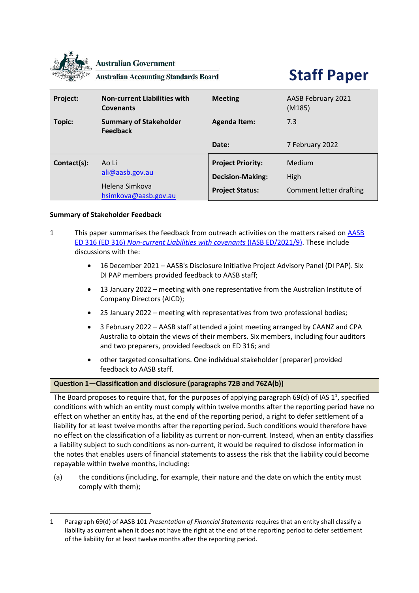

**Australian Government** 

**Australian Accounting Standards Board** 

**Staff Paper**

| Project:    | <b>Non-current Liabilities with</b><br><b>Covenants</b> | <b>Meeting</b>                                      | AASB February 2021<br>(M185) |
|-------------|---------------------------------------------------------|-----------------------------------------------------|------------------------------|
| Topic:      | <b>Summary of Stakeholder</b><br><b>Feedback</b>        | <b>Agenda Item:</b>                                 | 7.3                          |
|             |                                                         | Date:                                               | 7 February 2022              |
| Contact(s): | Ao Li<br>ali@aasb.gov.au<br>Helena Simkova              | <b>Project Priority:</b><br><b>Decision-Making:</b> | Medium<br>High               |
|             | hsimkova@aasb.gov.au                                    | <b>Project Status:</b>                              | Comment letter drafting      |

### **Summary of Stakeholder Feedback**

- 1 This paper summarises the feedback from outreach activities on the matters raised on [AASB](https://aasb.gov.au/admin/file/content105/c9/ACCED316_12-21.pdf)  ED 316 (ED 316) *[Non-current Liabilities with covenants](https://aasb.gov.au/admin/file/content105/c9/ACCED316_12-21.pdf)* (IASB ED/2021/9). These include discussions with the:
	- 16December 2021 AASB's Disclosure Initiative Project Advisory Panel (DI PAP). Six DI PAP members provided feedback to AASB staff;
	- 13 January 2022 meeting with one representative from the Australian Institute of Company Directors (AICD);
	- 25 January 2022 meeting with representatives from two professional bodies;
	- 3 February 2022 AASB staff attended a joint meeting arranged by CAANZ and CPA Australia to obtain the views of their members. Six members, including four auditors and two preparers, provided feedback on ED 316; and
	- other targeted consultations. One individual stakeholder [preparer] provided feedback to AASB staff.

#### <span id="page-0-0"></span>**Question 1—Classification and disclosure (paragraphs 72B and 76ZA(b))**

The Board proposes to require that, for the purposes of applying paragraph 69(d) of IAS 1<sup>1</sup>, specified conditions with which an entity must comply within twelve months after the reporting period have no effect on whether an entity has, at the end of the reporting period, a right to defer settlement of a liability for at least twelve months after the reporting period. Such conditions would therefore have no effect on the classification of a liability as current or non-current. Instead, when an entity classifies a liability subject to such conditions as non-current, it would be required to disclose information in the notes that enables users of financial statements to assess the risk that the liability could become repayable within twelve months, including:

(a) the conditions (including, for example, their nature and the date on which the entity must comply with them);

<span id="page-0-1"></span><sup>1</sup> Paragraph 69(d) of AASB 101 *Presentation of Financial Statements* requires that an entity shall classify a liability as current when it does not have the right at the end of the reporting period to defer settlement of the liability for at least twelve months after the reporting period.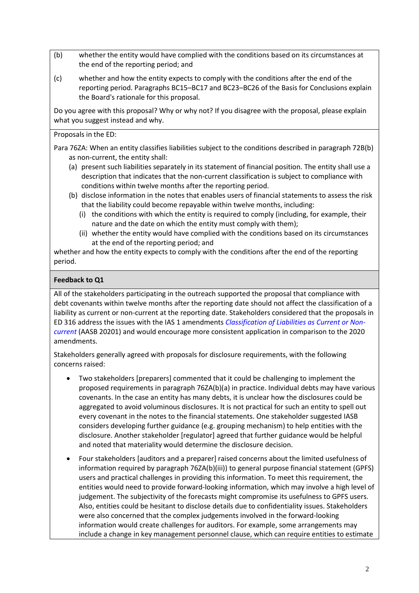- (b) whether the entity would have complied with the conditions based on its circumstances at the end of the reporting period; and
- (c) whether and how the entity expects to comply with the conditions after the end of the reporting period. Paragraphs BC15–BC17 and BC23–BC26 of the Basis for Conclusions explain the Board's rationale for this proposal.

Do you agree with this proposal? Why or why not? If you disagree with the proposal, please explain what you suggest instead and why.

Proposals in the ED:

Para 76ZA: When an entity classifies liabilities subject to the conditions described in paragraph 72B(b) as non-current, the entity shall:

- (a) present such liabilities separately in its statement of financial position. The entity shall use a description that indicates that the non-current classification is subject to compliance with conditions within twelve months after the reporting period.
- (b) disclose information in the notes that enables users of financial statements to assess the risk that the liability could become repayable within twelve months, including:
	- (i) the conditions with which the entity is required to comply (including, for example, their nature and the date on which the entity must comply with them);
	- (ii) whether the entity would have complied with the conditions based on its circumstances at the end of the reporting period; and

whether and how the entity expects to comply with the conditions after the end of the reporting period.

# **Feedback to Q1**

All of the stakeholders participating in the outreach supported the proposal that compliance with debt covenants within twelve months after the reporting date should not affect the classification of a liability as current or non-current at the reporting date. Stakeholders considered that the proposals in ED 316 address the issues with the IAS 1 amendments *[Classification of Liabilities as Current or Non](https://aasb.gov.au/admin/file/content105/c9/AASB_2020-1_03-20.pdf)[current](https://aasb.gov.au/admin/file/content105/c9/AASB_2020-1_03-20.pdf)* (AASB 20201) and would encourage more consistent application in comparison to the 2020 amendments.

Stakeholders generally agreed with proposals for disclosure requirements, with the following concerns raised:

- Two stakeholders [preparers] commented that it could be challenging to implement the proposed requirements in paragraph 76ZA(b)(a) in practice. Individual debts may have various covenants. In the case an entity has many debts, it is unclear how the disclosures could be aggregated to avoid voluminous disclosures. It is not practical for such an entity to spell out every covenant in the notes to the financial statements. One stakeholder suggested IASB considers developing further guidance (e.g. grouping mechanism) to help entities with the disclosure. Another stakeholder [regulator] agreed that further guidance would be helpful and noted that materiality would determine the disclosure decision.
- Four stakeholders [auditors and a preparer] raised concerns about the limited usefulness of information required by paragraph 76ZA(b)(iii)) to general purpose financial statement (GPFS) users and practical challenges in providing this information. To meet this requirement, the entities would need to provide forward-looking information, which may involve a high level of judgement. The subjectivity of the forecasts might compromise its usefulness to GPFS users. Also, entities could be hesitant to disclose details due to confidentiality issues. Stakeholders were also concerned that the complex judgements involved in the forward-looking information would create challenges for auditors. For example, some arrangements may include a change in key management personnel clause, which can require entities to estimate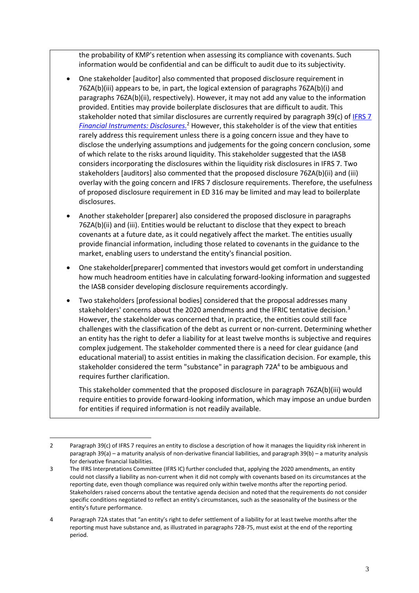the probability of KMP's retention when assessing its compliance with covenants. Such information would be confidential and can be difficult to audit due to its subjectivity.

- One stakeholder [auditor] also commented that proposed disclosure requirement in 76ZA(b)(iii) appears to be, in part, the logical extension of paragraphs 76ZA(b)(i) and paragraphs 76ZA(b)(ii), respectively). However, it may not add any value to the information provided. Entities may provide boilerplate disclosures that are difficult to audit. This stakeholder noted that similar disclosures are currently required by paragraph 39(c) of [IFRS 7](https://www.aasb.gov.au/admin/file/content105/c9/AASB7_08-15_COMPsep20_07-21.pdf)  *[Financial Instruments: Disclosures.](https://www.aasb.gov.au/admin/file/content105/c9/AASB7_08-15_COMPsep20_07-21.pdf)* <sup>2</sup> However, this stakeholder is of the view that entities rarely address this requirement unless there is a going concern issue and they have to disclose the underlying assumptions and judgements for the going concern conclusion, some of which relate to the risks around liquidity. This stakeholder suggested that the IASB considers incorporating the disclosures within the liquidity risk disclosures in IFRS 7. Two stakeholders [auditors] also commented that the proposed disclosure 76ZA(b)(ii) and (iii) overlay with the going concern and IFRS 7 disclosure requirements. Therefore, the usefulness of proposed disclosure requirement in ED 316 may be limited and may lead to boilerplate disclosures.
- Another stakeholder [preparer] also considered the proposed disclosure in paragraphs 76ZA(b)(ii) and (iii). Entities would be reluctant to disclose that they expect to breach covenants at a future date, as it could negatively affect the market. The entities usually provide financial information, including those related to covenants in the guidance to the market, enabling users to understand the entity's financial position.
- One stakeholder[preparer] commented that investors would get comfort in understanding how much headroom entities have in calculating forward-looking information and suggested the IASB consider developing disclosure requirements accordingly.
- Two stakeholders [professional bodies] considered that the proposal addresses many stakeholders' concerns about the 2020 amendments and the IFRIC tentative decision.<sup>3</sup> However, the stakeholder was concerned that, in practice, the entities could still face challenges with the classification of the debt as current or non-current. Determining whether an entity has the right to defer a liability for at least twelve months is subjective and requires complex judgement. The stakeholder commented there is a need for clear guidance (and educational material) to assist entities in making the classification decision. For example, this stakeholder considered the term "substance" in paragraph 72A<sup>4</sup> to be ambiguous and requires further clarification.

This stakeholder commented that the proposed disclosure in paragraph 76ZA(b)(iii) would require entities to provide forward-looking information, which may impose an undue burden for entities if required information is not readily available.

<sup>2</sup> Paragraph 39(c) of IFRS 7 requires an entity to disclose a description of how it manages the liquidity risk inherent in paragraph 39(a) – a maturity analysis of non-derivative financial liabilities, and paragraph 39(b) – a maturity analysis for derivative financial liabilities.

<sup>3</sup> The IFRS Interpretations Committee (IFRS IC) further concluded that, applying the 2020 amendments, an entity could not classify a liability as non-current when it did not comply with covenants based on its circumstances at the reporting date, even though compliance was required only within twelve months after the reporting period. Stakeholders raised concerns about the tentative agenda decision and noted that the requirements do not consider specific conditions negotiated to reflect an entity's circumstances, such as the seasonality of the business or the entity's future performance.

<sup>4</sup> Paragraph 72A states that "an entity's right to defer settlement of a liability for at least twelve months after the reporting must have substance and, as illustrated in paragraphs 72B-75, must exist at the end of the reporting period.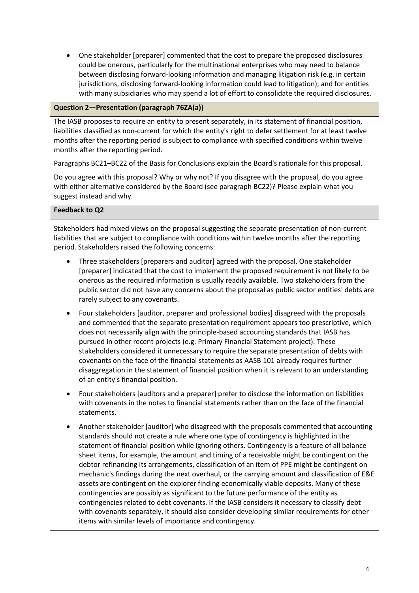• One stakeholder [preparer] commented that the cost to prepare the proposed disclosures could be onerous, particularly for the multinational enterprises who may need to balance between disclosing forward-looking information and managing litigation risk (e.g. in certain jurisdictions, disclosing forward-looking information could lead to litigation); and for entities with many subsidiaries who may spend a lot of effort to consolidate the required disclosures.

### **Question 2—Presentation (paragraph 76ZA(a))**

The IASB proposes to require an entity to present separately, in its statement of financial position, liabilities classified as non-current for which the entity's right to defer settlement for at least twelve months after the reporting period is subject to compliance with specified conditions within twelve months after the reporting period.

Paragraphs BC21–BC22 of the Basis for Conclusions explain the Board's rationale for this proposal.

Do you agree with this proposal? Why or why not? If you disagree with the proposal, do you agree with either alternative considered by the Board (see paragraph BC22)? Please explain what you suggest instead and why.

### **Feedback to Q2**

Stakeholders had mixed views on the proposal suggesting the separate presentation of non-current liabilities that are subject to compliance with conditions within twelve months after the reporting period. Stakeholders raised the following concerns:

- Three stakeholders [preparers and auditor] agreed with the proposal. One stakeholder [preparer] indicated that the cost to implement the proposed requirement is not likely to be onerous as the required information is usually readily available. Two stakeholders from the public sector did not have any concerns about the proposal as public sector entities' debts are rarely subject to any covenants.
- Four stakeholders [auditor, preparer and professional bodies] disagreed with the proposals and commented that the separate presentation requirement appears too prescriptive, which does not necessarily align with the principle-based accounting standards that IASB has pursued in other recent projects (e.g. Primary Financial Statement project). These stakeholders considered it unnecessary to require the separate presentation of debts with covenants on the face of the financial statements as AASB 101 already requires further disaggregation in the statement of financial position when it is relevant to an understanding of an entity's financial position.
- Four stakeholders [auditors and a preparer] prefer to disclose the information on liabilities with covenants in the notes to financial statements rather than on the face of the financial statements.
- Another stakeholder [auditor] who disagreed with the proposals commented that accounting standards should not create a rule where one type of contingency is highlighted in the statement of financial position while ignoring others. Contingency is a feature of all balance sheet items, for example, the amount and timing of a receivable might be contingent on the debtor refinancing its arrangements, classification of an item of PPE might be contingent on mechanic's findings during the next overhaul, or the carrying amount and classification of E&E assets are contingent on the explorer finding economically viable deposits. Many of these contingencies are possibly as significant to the future performance of the entity as contingencies related to debt covenants. If the IASB considers it necessary to classify debt with covenants separately, it should also consider developing similar requirements for other items with similar levels of importance and contingency.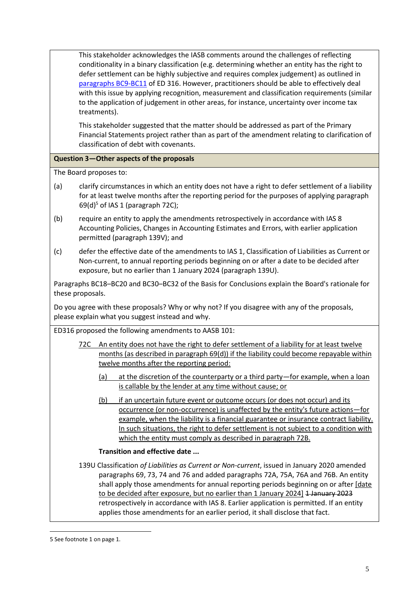This stakeholder acknowledges the IASB comments around the challenges of reflecting conditionality in a binary classification (e.g. determining whether an entity has the right to defer settlement can be highly subjective and requires complex judgement) as outlined in [paragraphs](https://aasb.gov.au/admin/file/content105/c9/ACCED316_12-21.pdf) BC9-BC11 of ED 316. However, practitioners should be able to effectively deal with this issue by applying recognition, measurement and classification requirements (similar to the application of judgement in other areas, for instance, uncertainty over income tax treatments).

This stakeholder suggested that the matter should be addressed as part of the Primary Financial Statements project rather than as part of the amendment relating to clarification of classification of debt with covenants.

# **Question 3—Other aspects of the proposals**

The Board proposes to:

- (a) clarify circumstances in which an entity does not have a right to defer settlement of a liability for at least twelve months after the reporting period for the purposes of applying paragraph  $69(d)^5$  of IAS 1 (paragraph 72C);
- (b) require an entity to apply the amendments retrospectively in accordance with IAS 8 Accounting Policies, Changes in Accounting Estimates and Errors, with earlier application permitted (paragraph 139V); and
- (c) defer the effective date of the amendments to IAS 1, Classification of Liabilities as Current or Non-current, to annual reporting periods beginning on or after a date to be decided after exposure, but no earlier than 1 January 2024 (paragraph 139U).

Paragraphs BC18–BC20 and BC30–BC32 of the Basis for Conclusions explain the Board's rationale for these proposals.

Do you agree with these proposals? Why or why not? If you disagree with any of the proposals, please explain what you suggest instead and why.

ED316 proposed the following amendments to AASB 101:

- <span id="page-4-0"></span>72C An entity does not have the right to defer settlement of a liability for at least twelve months (as described in paragraph 69(d)) if the liability could become repayable within twelve months after the reporting period:
	- (a) at the discretion of the counterparty or a third party—for example, when a loan is callable by the lender at any time without cause; or
	- (b) if an uncertain future event or outcome occurs (or does not occur) and its occurrence (or non-occurrence) is unaffected by the entity's future actions—for example, when the liability is a financial guarantee or insurance contract liability. In such situations, the right to defer settlement is not subject to a condition with which the entity must comply as described in paragraph 72B.

### **Transition and effective date ...**

139U Classification *of Liabilities as Current or Non-current*, issued in January 2020 amended paragraphs 69, 73, 74 and 76 and added paragraphs 72A, 75A, 76A and 76B. An entity shall apply those amendments for annual reporting periods beginning on or after [date to be decided after exposure, but no earlier than 1 January 2024] 1 January 2023 retrospectively in accordance with IAS 8. Earlier application is permitted. If an entity applies those amendments for an earlier period, it shall disclose that fact.

<sup>5</sup> See footnote [1](#page-0-0) on page [1.](#page-0-1)